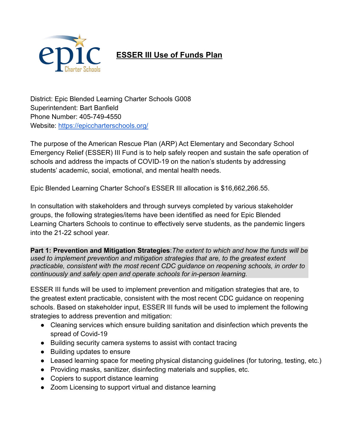

## **ESSER III Use of Funds Plan**

District: Epic Blended Learning Charter Schools G008 Superintendent: Bart Banfield Phone Number: 405-749-4550 Website: <https://epiccharterschools.org/>

The purpose of the American Rescue Plan (ARP) Act Elementary and Secondary School Emergency Relief (ESSER) III Fund is to help safely reopen and sustain the safe operation of schools and address the impacts of COVID-19 on the nation's students by addressing students' academic, social, emotional, and mental health needs.

Epic Blended Learning Charter School's ESSER III allocation is \$16,662,266.55.

In consultation with stakeholders and through surveys completed by various stakeholder groups, the following strategies/items have been identified as need for Epic Blended Learning Charters Schools to continue to effectively serve students, as the pandemic lingers into the 21-22 school year.

**Part 1: Prevention and Mitigation Strategies**:*The extent to which and how the funds will be used to implement prevention and mitigation strategies that are, to the greatest extent practicable, consistent with the most recent CDC guidance on reopening schools, in order to continuously and safely open and operate schools for in-person learning.*

ESSER III funds will be used to implement prevention and mitigation strategies that are, to the greatest extent practicable, consistent with the most recent CDC guidance on reopening schools. Based on stakeholder input, ESSER III funds will be used to implement the following strategies to address prevention and mitigation:

- Cleaning services which ensure building sanitation and disinfection which prevents the spread of Covid-19
- Building security camera systems to assist with contact tracing
- Building updates to ensure
- Leased learning space for meeting physical distancing guidelines (for tutoring, testing, etc.)
- Providing masks, sanitizer, disinfecting materials and supplies, etc.
- Copiers to support distance learning
- Zoom Licensing to support virtual and distance learning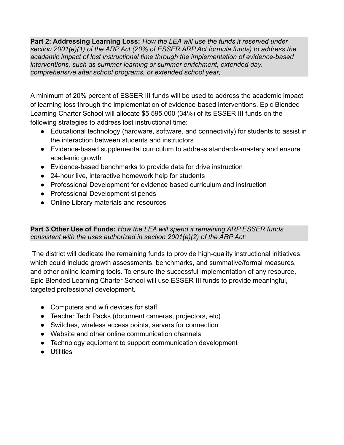**Part 2: Addressing Learning Loss:** *How the LEA will use the funds it reserved under section 2001(e)(1) of the ARP Act (20% of ESSER ARP Act formula funds) to address the academic impact of lost instructional time through the implementation of evidence-based interventions, such as summer learning or summer enrichment, extended day, comprehensive after school programs, or extended school year;*

A minimum of 20% percent of ESSER III funds will be used to address the academic impact of learning loss through the implementation of evidence-based interventions. Epic Blended Learning Charter School will allocate \$5,595,000 (34%) of its ESSER III funds on the following strategies to address lost instructional time:

- Educational technology (hardware, software, and connectivity) for students to assist in the interaction between students and instructors
- Evidence-based supplemental curriculum to address standards-mastery and ensure academic growth
- Evidence-based benchmarks to provide data for drive instruction
- 24-hour live, interactive homework help for students
- Professional Development for evidence based curriculum and instruction
- Professional Development stipends
- Online Library materials and resources

## **Part 3 Other Use of Funds:** *How the LEA will spend it remaining ARP ESSER funds consistent with the uses authorized in section 2001(e)(2) of the ARP Act;*

The district will dedicate the remaining funds to provide high-quality instructional initiatives, which could include growth assessments, benchmarks, and summative/formal measures, and other online learning tools. To ensure the successful implementation of any resource, Epic Blended Learning Charter School will use ESSER III funds to provide meaningful, targeted professional development.

- Computers and wifi devices for staff
- Teacher Tech Packs (document cameras, projectors, etc)
- Switches, wireless access points, servers for connection
- Website and other online communication channels
- Technology equipment to support communication development
- Utilities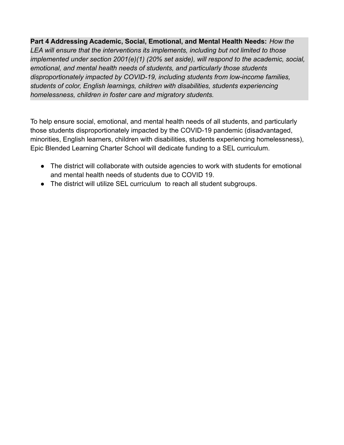**Part 4 Addressing Academic, Social, Emotional, and Mental Health Needs:** *How the LEA will ensure that the interventions its implements, including but not limited to those implemented under section 2001(e)(1) (20% set aside), will respond to the academic, social, emotional, and mental health needs of students, and particularly those students disproportionately impacted by COVID-19, including students from low-income families, students of color, English learnings, children with disabilities, students experiencing homelessness, children in foster care and migratory students.*

To help ensure social, emotional, and mental health needs of all students, and particularly those students disproportionately impacted by the COVID-19 pandemic (disadvantaged, minorities, English learners, children with disabilities, students experiencing homelessness), Epic Blended Learning Charter School will dedicate funding to a SEL curriculum.

- The district will collaborate with outside agencies to work with students for emotional and mental health needs of students due to COVID 19.
- The district will utilize SEL curriculum to reach all student subgroups.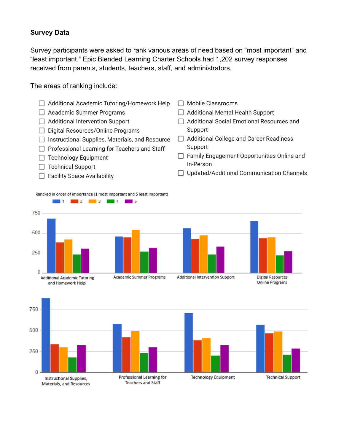## **Survey Data**

Survey participants were asked to rank various areas of need based on "most important" and "least important." Epic Blended Learning Charter Schools had 1,202 survey responses received from parents, students, teachers, staff, and administrators.

The areas of ranking include: